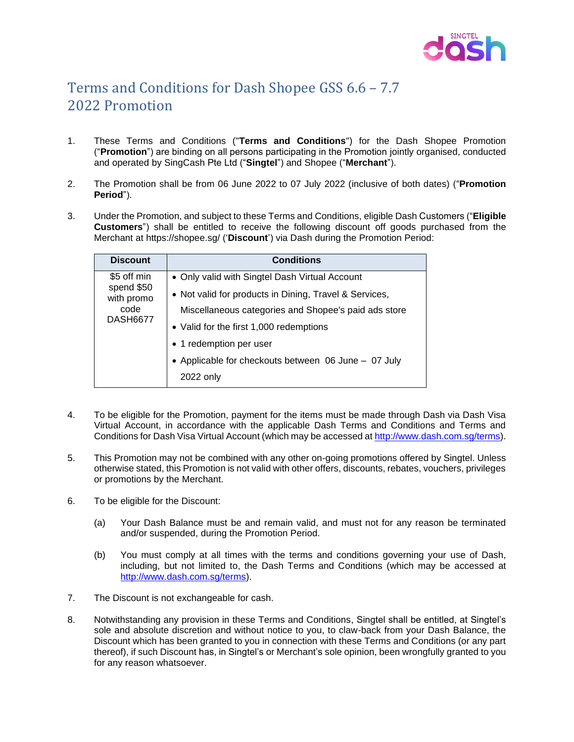

## Terms and Conditions for Dash Shopee GSS 6.6 – 7.7 2022 Promotion

- 1. These Terms and Conditions ("**Terms and Conditions**") for the Dash Shopee Promotion ("**Promotion**") are binding on all persons participating in the Promotion jointly organised, conducted and operated by SingCash Pte Ltd ("**Singtel**") and Shopee ("**Merchant**").
- 2. The Promotion shall be from 06 June 2022 to 07 July 2022 (inclusive of both dates) ("**Promotion Period**").
- 3. Under the Promotion, and subject to these Terms and Conditions, eligible Dash Customers ("**Eligible Customers**") shall be entitled to receive the following discount off goods purchased from the Merchant at https://shopee.sg/ ('**Discount**') via Dash during the Promotion Period:

| <b>Discount</b>                                                    | <b>Conditions</b>                                                 |
|--------------------------------------------------------------------|-------------------------------------------------------------------|
| \$5 off min<br>spend \$50<br>with promo<br>code<br><b>DASH6677</b> | • Only valid with Singtel Dash Virtual Account                    |
|                                                                    | • Not valid for products in Dining, Travel & Services,            |
|                                                                    | Miscellaneous categories and Shopee's paid ads store              |
|                                                                    | • Valid for the first 1,000 redemptions                           |
|                                                                    | • 1 redemption per user                                           |
|                                                                    | • Applicable for checkouts between 06 June - 07 July<br>2022 only |

- 4. To be eligible for the Promotion, payment for the items must be made through Dash via Dash Visa Virtual Account, in accordance with the applicable Dash Terms and Conditions and Terms and Conditions for Dash Visa Virtual Account (which may be accessed at [http://www.dash.com.sg/terms\)](http://www.dash.com.sg/terms).
- 5. This Promotion may not be combined with any other on-going promotions offered by Singtel. Unless otherwise stated, this Promotion is not valid with other offers, discounts, rebates, vouchers, privileges or promotions by the Merchant.
- 6. To be eligible for the Discount:
	- (a) Your Dash Balance must be and remain valid, and must not for any reason be terminated and/or suspended, during the Promotion Period.
	- (b) You must comply at all times with the terms and conditions governing your use of Dash, including, but not limited to, the Dash Terms and Conditions (which may be accessed at [http://www.dash.com.sg/terms\)](http://www.dash.com.sg/terms).
- 7. The Discount is not exchangeable for cash.
- 8. Notwithstanding any provision in these Terms and Conditions, Singtel shall be entitled, at Singtel's sole and absolute discretion and without notice to you, to claw-back from your Dash Balance, the Discount which has been granted to you in connection with these Terms and Conditions (or any part thereof), if such Discount has, in Singtel's or Merchant's sole opinion, been wrongfully granted to you for any reason whatsoever.